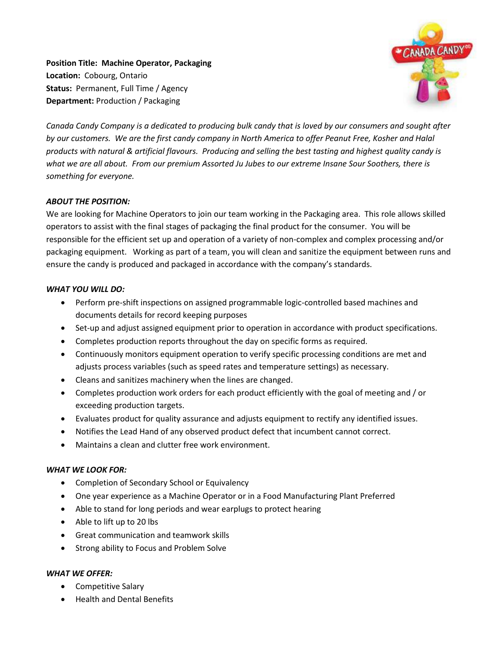**Position Title: Machine Operator, Packaging Location:** Cobourg, Ontario **Status:** Permanent, Full Time / Agency **Department:** Production / Packaging



*Canada Candy Company is a dedicated to producing bulk candy that is loved by our consumers and sought after by our customers. We are the first candy company in North America to offer Peanut Free, Kosher and Halal products with natural & artificial flavours. Producing and selling the best tasting and highest quality candy is what we are all about. From our premium Assorted Ju Jubes to our extreme Insane Sour Soothers, there is something for everyone.*

## *ABOUT THE POSITION:*

We are looking for Machine Operators to join our team working in the Packaging area. This role allows skilled operators to assist with the final stages of packaging the final product for the consumer. You will be responsible for the efficient set up and operation of a variety of non-complex and complex processing and/or packaging equipment. Working as part of a team, you will clean and sanitize the equipment between runs and ensure the candy is produced and packaged in accordance with the company's standards.

## *WHAT YOU WILL DO:*

- Perform pre-shift inspections on assigned programmable logic-controlled based machines and documents details for record keeping purposes
- Set-up and adjust assigned equipment prior to operation in accordance with product specifications.
- Completes production reports throughout the day on specific forms as required.
- Continuously monitors equipment operation to verify specific processing conditions are met and adjusts process variables (such as speed rates and temperature settings) as necessary.
- Cleans and sanitizes machinery when the lines are changed.
- Completes production work orders for each product efficiently with the goal of meeting and / or exceeding production targets.
- Evaluates product for quality assurance and adjusts equipment to rectify any identified issues.
- Notifies the Lead Hand of any observed product defect that incumbent cannot correct.
- Maintains a clean and clutter free work environment.

## *WHAT WE LOOK FOR:*

- Completion of Secondary School or Equivalency
- One year experience as a Machine Operator or in a Food Manufacturing Plant Preferred
- Able to stand for long periods and wear earplugs to protect hearing
- Able to lift up to 20 lbs
- Great communication and teamwork skills
- Strong ability to Focus and Problem Solve

## *WHAT WE OFFER:*

- Competitive Salary
- Health and Dental Benefits